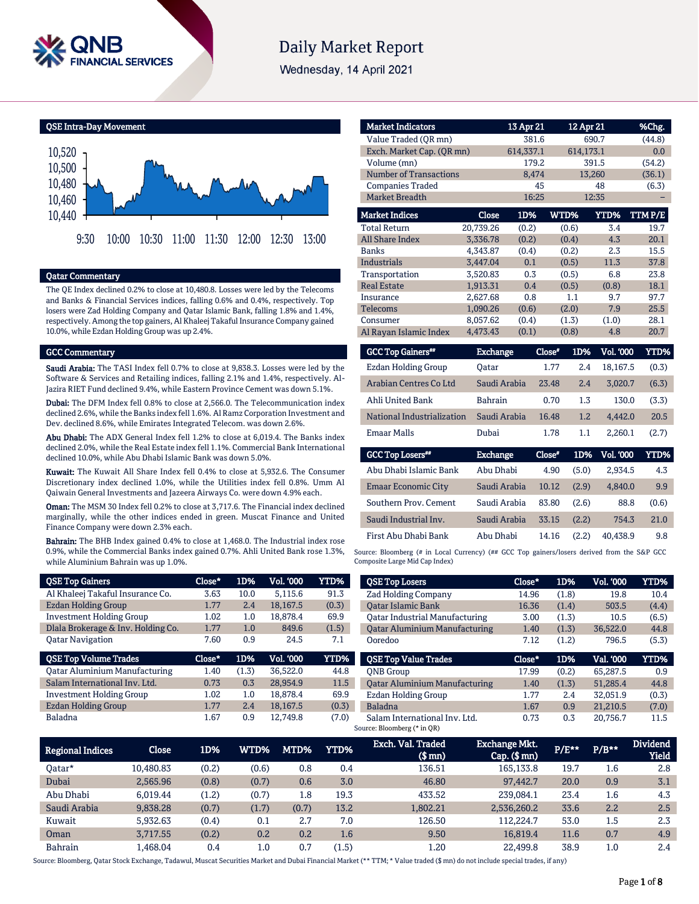

# **Daily Market Report**

Wednesday, 14 April 2021

QSE Intra-Day Movement



#### Qatar Commentary

The QE Index declined 0.2% to close at 10,480.8. Losses were led by the Telecoms and Banks & Financial Services indices, falling 0.6% and 0.4%, respectively. Top losers were Zad Holding Company and Qatar Islamic Bank, falling 1.8% and 1.4%, respectively. Among the top gainers, Al Khaleej Takaful Insurance Company gained 10.0%, while Ezdan Holding Group was up 2.4%.

#### GCC Commentary

Saudi Arabia: The TASI Index fell 0.7% to close at 9,838.3. Losses were led by the Software & Services and Retailing indices, falling 2.1% and 1.4%, respectively. Al-Jazira RIET Fund declined 9.4%, while Eastern Province Cement was down 5.1%.

Dubai: The DFM Index fell 0.8% to close at 2,566.0. The Telecommunication index declined 2.6%, while the Banks index fell 1.6%. Al Ramz Corporation Investment and Dev. declined 8.6%, while Emirates Integrated Telecom. was down 2.6%.

Abu Dhabi: The ADX General Index fell 1.2% to close at 6,019.4. The Banks index declined 2.0%, while the Real Estate index fell 1.1%. Commercial Bank International declined 10.0%, while Abu Dhabi Islamic Bank was down 5.0%.

Kuwait: The Kuwait All Share Index fell 0.4% to close at 5,932.6. The Consumer Discretionary index declined 1.0%, while the Utilities index fell 0.8%. Umm Al Qaiwain General Investments and Jazeera Airways Co. were down 4.9% each.

Oman: The MSM 30 Index fell 0.2% to close at 3,717.6. The Financial index declined marginally, while the other indices ended in green. Muscat Finance and United Finance Company were down 2.3% each.

Bahrain: The BHB Index gained 0.4% to close at 1,468.0. The Industrial index rose 0.9%, while the Commercial Banks index gained 0.7%. Ahli United Bank rose 1.3%, while Aluminium Bahrain was up 1.0%.

| <b>QSE Top Gainers</b>               | Close* | 1D%   | Vol. '000 | YTD%  |
|--------------------------------------|--------|-------|-----------|-------|
| Al Khaleej Takaful Insurance Co.     | 3.63   | 10.0  | 5.115.6   | 91.3  |
| Ezdan Holding Group                  | 1.77   | 2.4   | 18.167.5  | (0.3) |
| <b>Investment Holding Group</b>      | 1.02   | 1.0   | 18.878.4  | 69.9  |
| Dlala Brokerage & Inv. Holding Co.   | 1.77   | 1.0   | 849.6     | (1.5) |
| <b>Qatar Navigation</b>              | 7.60   | 0.9   | 24.5      | 7.1   |
|                                      |        |       |           |       |
| <b>QSE Top Volume Trades</b>         | Close* | 1D%   | Vol. '000 | YTD%  |
| <b>Qatar Aluminium Manufacturing</b> | 1.40   | (1.3) | 36.522.0  | 44.8  |
| Salam International Inv. Ltd.        | 0.73   | 0.3   | 28.954.9  | 11.5  |
| <b>Investment Holding Group</b>      | 1.02   | 1.0   | 18.878.4  | 69.9  |
| Ezdan Holding Group                  | 1.77   | 2.4   | 18,167.5  | (0.3) |

|                               | 13 Apr 21 |          |                | %Chg.                                                                                                     |
|-------------------------------|-----------|----------|----------------|-----------------------------------------------------------------------------------------------------------|
|                               | 381.6     |          |                | (44.8)                                                                                                    |
| Exch. Market Cap. (QR mn)     | 614,337.1 |          |                | 0.0                                                                                                       |
|                               | 179.2     |          |                | (54.2)                                                                                                    |
| <b>Number of Transactions</b> | 8,474     |          |                | (36.1)                                                                                                    |
|                               | 45        |          | 48             | (6.3)                                                                                                     |
|                               | 16:25     |          |                |                                                                                                           |
| <b>Close</b>                  | 1D%       | WTD%     | YTD%           | TTMP/E                                                                                                    |
| 20.739.26                     | (0.2)     | (0.6)    | 3.4            | 19.7                                                                                                      |
| 3,336.78                      | (0.2)     | (0.4)    | 4.3            | 20.1                                                                                                      |
| 4,343.87                      | (0.4)     | (0.2)    | 2.3            | 15.5                                                                                                      |
| 3,447.04                      | 0.1       | (0.5)    | 11.3           | 37.8                                                                                                      |
| 3,520.83                      | 0.3       | (0.5)    | 6.8            | 23.8                                                                                                      |
| 1.913.31                      | 0.4       | (0.5)    | (0.8)          | 18.1                                                                                                      |
| 2,627.68                      | 0.8       | 1.1      | 9.7            | 97.7                                                                                                      |
| 1,090.26                      | (0.6)     | (2.0)    | 7.9            | 25.5                                                                                                      |
| 8,057.62                      | (0.4)     | (1.3)    | (1.0)          | 28.1                                                                                                      |
| 4,473.43                      | (0.1)     | (0.8)    | 4.8            | 20.7                                                                                                      |
|                               |           |          |                | YTD%                                                                                                      |
| Oatar                         |           |          |                | (0.3)                                                                                                     |
|                               |           | Exchange | Close"<br>1.77 | 12 Apr 21<br>690.7<br>614,173.1<br>391.5<br>13,260<br>12:35<br>1D%<br><b>Vol. '000</b><br>2.4<br>18,167.5 |

| Arabian Centres Co Ltd     | Saudi Arabia    | 23.48  | 2.4   | 3,020.7          | (6.3)       |
|----------------------------|-----------------|--------|-------|------------------|-------------|
| Ahli United Bank           | <b>Bahrain</b>  | 0.70   | 1.3   | 130.0            | (3.3)       |
| National Industrialization | Saudi Arabia    | 16.48  | 1.2   | 4,442.0          | 20.5        |
| <b>Emaar Malls</b>         | Dubai           | 1.78   | 1.1   | 2,260.1          | (2.7)       |
|                            |                 |        |       |                  |             |
| <b>GCC Top Losers</b> "    | <b>Exchange</b> | Close* | 1D%   | <b>Vol. '000</b> | <b>YTD%</b> |
| Abu Dhabi Islamic Bank     | Abu Dhabi       | 4.90   | (5.0) | 2,934.5          | 4.3         |
| <b>Emaar Economic City</b> | Saudi Arabia    | 10.12  | (2.9) | 4,840.0          | 9.9         |
| Southern Prov. Cement      | Saudi Arabia    | 83.80  | (2.6) | 88.8             | (0.6)       |
| Saudi Industrial Inv.      | Saudi Arabia    | 33.15  | (2.2) | 754.3            | 21.0        |

Source: Bloomberg (# in Local Currency) (## GCC Top gainers/losers derived from the S&P GCC Composite Large Mid Cap Index)

| <b>QSE Top Losers</b>                | Close* | 1D%   | Vol. '000 | YTD%  |
|--------------------------------------|--------|-------|-----------|-------|
| <b>Zad Holding Company</b>           | 14.96  | (1.8) | 19.8      | 10.4  |
| <b>Oatar Islamic Bank</b>            | 16.36  | (1.4) | 503.5     | (4.4) |
| Oatar Industrial Manufacturing       | 3.00   | (1.3) | 10.5      | (6.5) |
| <b>Qatar Aluminium Manufacturing</b> | 1.40   | (1.3) | 36.522.0  | 44.8  |
| Ooredoo                              | 7.12   | (1.2) | 796.5     | (5.3) |
|                                      |        |       |           |       |
| <b>OSE Top Value Trades</b>          | Close* | 1D%   | Val. '000 | YTD%  |
| <b>ONB</b> Group                     | 17.99  | (0.2) | 65,287.5  | 0.9   |
| <b>Qatar Aluminium Manufacturing</b> | 1.40   | (1.3) | 51.285.4  | 44.8  |
| Ezdan Holding Group                  | 1.77   | 2.4   | 32.051.9  | (0.3) |
| <b>Baladna</b>                       | 1.67   | 0.9   | 21.210.5  | (7.0) |

| <b>Regional Indices</b> | Close     | 1D%   | WTD%    | MTD%  | <b>YTD%</b> | Exch. Val. Traded<br>$$$ mm $)$ | <b>Exchange Mkt.</b><br>$Cap.$ ( $$mn)$ | $P/E***$ | $P/B**$ | <b>Dividend</b><br><b>Yield</b> |
|-------------------------|-----------|-------|---------|-------|-------------|---------------------------------|-----------------------------------------|----------|---------|---------------------------------|
| Oatar*                  | 10.480.83 | (0.2) | (0.6)   | 0.8   | 0.4         | 136.51                          | 165,133.8                               | 19.7     | 1.6     | 2.8                             |
| Dubai                   | 2.565.96  | (0.8) | (0.7)   | 0.6   | 3.0         | 46.80                           | 97,442.7                                | 20.0     | 0.9     | 3.1                             |
| Abu Dhabi               | 6.019.44  | (1.2) | (0.7)   | 1.8   | 19.3        | 433.52                          | 239.084.1                               | 23.4     | $1.6\,$ | 4.3                             |
| Saudi Arabia            | 9,838.28  | (0.7) | (1.7)   | (0.7) | 13.2        | 1.802.21                        | 2,536,260.2                             | 33.6     | 2.2     | 2.5                             |
| Kuwait                  | 5.932.63  | (0.4) | 0.1     | 2.7   | 7.0         | 126.50                          | 112.224.7                               | 53.0     | 1.5     | 2.3                             |
| Oman                    | 3.717.55  | (0.2) | 0.2     | 0.2   | $1.6\,$     | 9.50                            | 16.819.4                                | 11.6     | 0.7     | 4.9                             |
| Bahrain                 | L.468.04  | 0.4   | $1.0\,$ | 0.7   | (1.5)       | 1.20                            | 22,499.8                                | 38.9     | 1.0     | 2.4                             |

Source: Bloomberg, Qatar Stock Exchange, Tadawul, Muscat Securities Market and Dubai Financial Market (\*\* TTM; \* Value traded (\$ mn) do not include special trades, if any)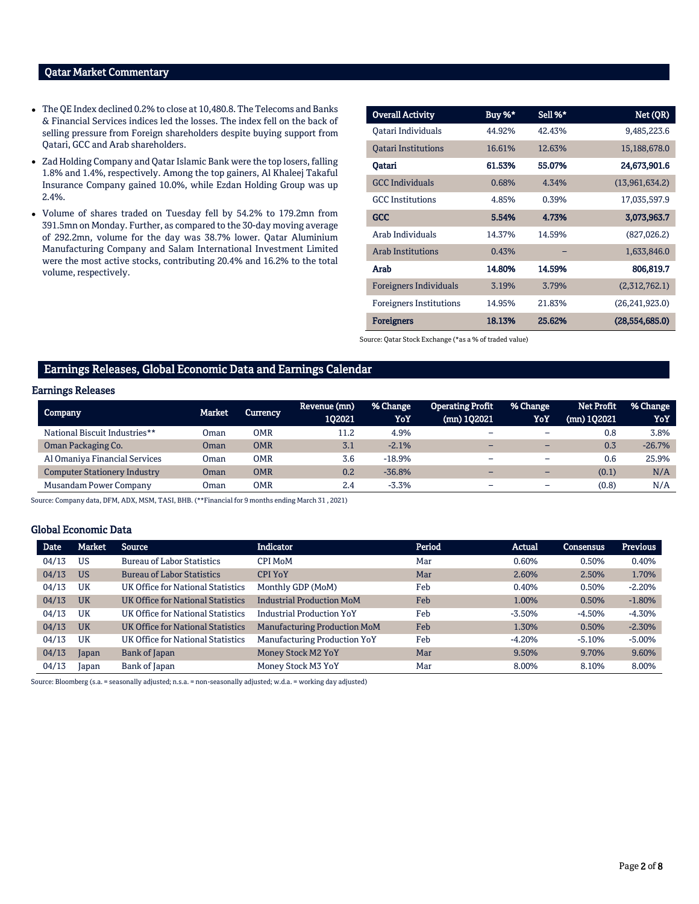# Qatar Market Commentary

- The QE Index declined 0.2% to close at 10,480.8. The Telecoms and Banks & Financial Services indices led the losses. The index fell on the back of selling pressure from Foreign shareholders despite buying support from Qatari, GCC and Arab shareholders.
- Zad Holding Company and Qatar Islamic Bank were the top losers, falling 1.8% and 1.4%, respectively. Among the top gainers, Al Khaleej Takaful Insurance Company gained 10.0%, while Ezdan Holding Group was up 2.4%.
- Volume of shares traded on Tuesday fell by 54.2% to 179.2mn from 391.5mn on Monday. Further, as compared to the 30-day moving average of 292.2mn, volume for the day was 38.7% lower. Qatar Aluminium Manufacturing Company and Salam International Investment Limited were the most active stocks, contributing 20.4% and 16.2% to the total volume, respectively.

| <b>Overall Activity</b>        | Buy %* | Sell %* | Net (QR)         |
|--------------------------------|--------|---------|------------------|
| Oatari Individuals             | 44.92% | 42.43%  | 9,485,223.6      |
| <b>Oatari Institutions</b>     | 16.61% | 12.63%  | 15,188,678.0     |
| Oatari                         | 61.53% | 55.07%  | 24,673,901.6     |
| <b>GCC</b> Individuals         | 0.68%  | 4.34%   | (13,961,634.2)   |
| <b>GCC</b> Institutions        | 4.85%  | 0.39%   | 17,035,597.9     |
| <b>GCC</b>                     | 5.54%  | 4.73%   | 3,073,963.7      |
| Arab Individuals               | 14.37% | 14.59%  | (827,026.2)      |
| <b>Arab Institutions</b>       | 0.43%  |         | 1,633,846.0      |
| Arab                           | 14.80% | 14.59%  | 806,819.7        |
| <b>Foreigners Individuals</b>  | 3.19%  | 3.79%   | (2,312,762.1)    |
| <b>Foreigners Institutions</b> | 14.95% | 21.83%  | (26, 241, 923.0) |
| <b>Foreigners</b>              | 18.13% | 25.62%  | (28.554.685.0)   |

Source: Qatar Stock Exchange (\*as a % of traded value)

#### Earnings Releases, Global Economic Data and Earnings Calendar

#### Earnings Releases

| Company                             | <b>Market</b> | <b>Currency</b> | Revenue (mn)<br>102021 | % Change<br>YoY | Operating Profit<br>$(mn)$ 102021 | % Change<br>YoY          | Net Profit<br>$(mn)$ 102021 | % Change<br>YoY |
|-------------------------------------|---------------|-----------------|------------------------|-----------------|-----------------------------------|--------------------------|-----------------------------|-----------------|
| National Biscuit Industries**       | Oman          | OMR             | 11.2                   | 4.9%            | -                                 | $\overline{\phantom{0}}$ | 0.8                         | 3.8%            |
| Oman Packaging Co.                  | Oman          | OMR             | 3.1                    | $-2.1%$         | -                                 | $\overline{\phantom{0}}$ | 0.3                         | $-26.7%$        |
| Al Omaniya Financial Services       | Oman          | OMR             | 3.6                    | $-18.9%$        | -                                 |                          | 0.6                         | 25.9%           |
| <b>Computer Stationery Industry</b> | Oman          | OMR             | 0.2                    | $-36.8%$        | -                                 | $\overline{\phantom{0}}$ | (0.1)                       | N/A             |
| Musandam Power Company              | Oman          | OMR             | 2.4                    | $-3.3%$         | $\overline{\phantom{a}}$          | -                        | (0.8)                       | N/A             |

Source: Company data, DFM, ADX, MSM, TASI, BHB. (\*\*Financial for 9 months ending March 31 , 2021)

#### Global Economic Data

| <b>Date</b> | <b>Market</b> | Source                            | <b>Indicator</b>                    | Period | <b>Actual</b> | <b>Consensus</b> | <b>Previous</b> |
|-------------|---------------|-----------------------------------|-------------------------------------|--------|---------------|------------------|-----------------|
| 04/13       | <b>US</b>     | <b>Bureau of Labor Statistics</b> | CPI MoM                             | Mar    | 0.60%         | 0.50%            | 0.40%           |
| 04/13       | <b>US</b>     | <b>Bureau of Labor Statistics</b> | <b>CPI YoY</b>                      | Mar    | 2.60%         | 2.50%            | 1.70%           |
| 04/13       | UK            | UK Office for National Statistics | Monthly GDP (MoM)                   | Feb    | 0.40%         | 0.50%            | $-2.20%$        |
| 04/13       | <b>UK</b>     | UK Office for National Statistics | <b>Industrial Production MoM</b>    | Feb    | 1.00%         | 0.50%            | $-1.80%$        |
| 04/13       | UK            | UK Office for National Statistics | <b>Industrial Production YoY</b>    | Feb    | $-3.50%$      | $-4.50%$         | $-4.30%$        |
| 04/13       | <b>UK</b>     | UK Office for National Statistics | <b>Manufacturing Production MoM</b> | Feb    | 1.30%         | 0.50%            | $-2.30%$        |
| 04/13       | UK            | UK Office for National Statistics | <b>Manufacturing Production YoY</b> | Feb    | $-4.20%$      | $-5.10%$         | $-5.00%$        |
| 04/13       | Japan         | Bank of Japan                     | Money Stock M2 YoY                  | Mar    | 9.50%         | 9.70%            | 9.60%           |
| 04/13       | Japan         | Bank of Japan                     | Money Stock M3 YoY                  | Mar    | 8.00%         | 8.10%            | 8.00%           |

Source: Bloomberg (s.a. = seasonally adjusted; n.s.a. = non-seasonally adjusted; w.d.a. = working day adjusted)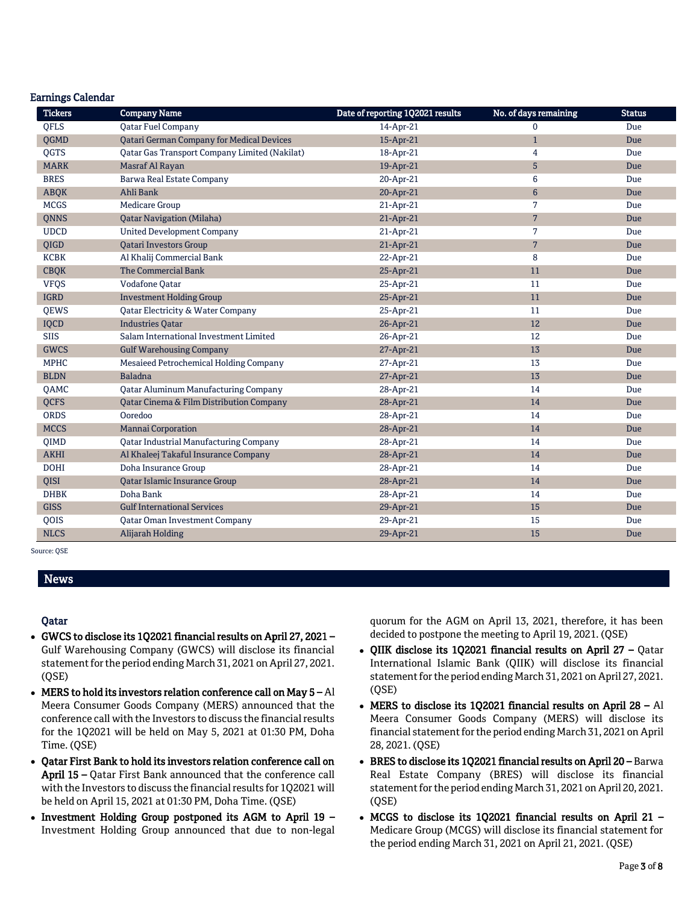### Earnings Calendar

| <b>Tickers</b> | <b>Company Name</b>                              | Date of reporting 1Q2021 results | No. of days remaining | <b>Status</b> |
|----------------|--------------------------------------------------|----------------------------------|-----------------------|---------------|
| <b>OFLS</b>    | <b>Oatar Fuel Company</b>                        | 14-Apr-21                        | $\mathbf 0$           | Due           |
| QGMD           | <b>Qatari German Company for Medical Devices</b> | 15-Apr-21                        | $\mathbf{1}$          | Due           |
| QGTS           | Qatar Gas Transport Company Limited (Nakilat)    | 18-Apr-21                        | 4                     | Due           |
| <b>MARK</b>    | Masraf Al Rayan                                  | 19-Apr-21                        | $\sqrt{5}$            | Due           |
| <b>BRES</b>    | Barwa Real Estate Company                        | 20-Apr-21                        | $\boldsymbol{6}$      | Due           |
| <b>ABQK</b>    | Ahli Bank                                        | 20-Apr-21                        | $6\,$                 | Due           |
| <b>MCGS</b>    | <b>Medicare Group</b>                            | 21-Apr-21                        | $7\overline{ }$       | Due           |
| QNNS           | <b>Qatar Navigation (Milaha)</b>                 | 21-Apr-21                        | $\overline{7}$        | Due           |
| <b>UDCD</b>    | <b>United Development Company</b>                | 21-Apr-21                        | $7\overline{ }$       | Due           |
| QIGD           | <b>Qatari Investors Group</b>                    | 21-Apr-21                        | $\overline{7}$        | Due           |
| <b>KCBK</b>    | Al Khalij Commercial Bank                        | 22-Apr-21                        | 8                     | Due           |
| <b>CBQK</b>    | The Commercial Bank                              | 25-Apr-21                        | 11                    | Due           |
| <b>VFQS</b>    | Vodafone Qatar                                   | 25-Apr-21                        | 11                    | Due           |
| <b>IGRD</b>    | <b>Investment Holding Group</b>                  | 25-Apr-21                        | 11                    | Due           |
| QEWS           | Qatar Electricity & Water Company                | 25-Apr-21                        | 11                    | Due           |
| IQCD           | <b>Industries Oatar</b>                          | 26-Apr-21                        | 12                    | Due           |
| <b>SIIS</b>    | Salam International Investment Limited           | 26-Apr-21                        | 12                    | Due           |
| <b>GWCS</b>    | <b>Gulf Warehousing Company</b>                  | 27-Apr-21                        | 13                    | Due           |
| <b>MPHC</b>    | Mesaieed Petrochemical Holding Company           | 27-Apr-21                        | 13                    | Due           |
| <b>BLDN</b>    | <b>Baladna</b>                                   | 27-Apr-21                        | 13                    | Due           |
| <b>OAMC</b>    | <b>Qatar Aluminum Manufacturing Company</b>      | 28-Apr-21                        | 14                    | Due           |
| <b>QCFS</b>    | Qatar Cinema & Film Distribution Company         | 28-Apr-21                        | 14                    | Due           |
| <b>ORDS</b>    | Ooredoo                                          | 28-Apr-21                        | 14                    | Due           |
| <b>MCCS</b>    | Mannai Corporation                               | 28-Apr-21                        | 14                    | Due           |
| QIMD           | <b>Qatar Industrial Manufacturing Company</b>    | 28-Apr-21                        | 14                    | Due           |
| <b>AKHI</b>    | Al Khaleej Takaful Insurance Company             | 28-Apr-21                        | 14                    | Due           |
| <b>DOHI</b>    | Doha Insurance Group                             | 28-Apr-21                        | 14                    | Due           |
| QISI           | Qatar Islamic Insurance Group                    | 28-Apr-21                        | 14                    | Due           |
| <b>DHBK</b>    | Doha Bank                                        | 28-Apr-21                        | 14                    | Due           |
| <b>GISS</b>    | <b>Gulf International Services</b>               | 29-Apr-21                        | 15                    | Due           |
| QOIS           | Qatar Oman Investment Company                    | 29-Apr-21                        | 15                    | Due           |
| <b>NLCS</b>    | Alijarah Holding                                 | 29-Apr-21                        | 15                    | Due           |

Source: QSE

## News

## Qatar

- GWCS to disclose its 1Q2021 financial results on April 27, 2021 Gulf Warehousing Company (GWCS) will disclose its financial statement for the period ending March 31, 2021 on April 27, 2021. (QSE)
- MERS to hold its investors relation conference call on May  $5 Al$ Meera Consumer Goods Company (MERS) announced that the conference call with the Investors to discuss the financial results for the 1Q2021 will be held on May 5, 2021 at 01:30 PM, Doha Time. (QSE)
- Qatar First Bank to hold its investors relation conference call on April 15 – Qatar First Bank announced that the conference call with the Investors to discuss the financial results for 1Q2021 will be held on April 15, 2021 at 01:30 PM, Doha Time. (QSE)
- Investment Holding Group postponed its AGM to April 19 Investment Holding Group announced that due to non-legal

quorum for the AGM on April 13, 2021, therefore, it has been decided to postpone the meeting to April 19, 2021. (QSE)

- QIIK disclose its 1Q2021 financial results on April 27 Qatar International Islamic Bank (QIIK) will disclose its financial statement for the period ending March 31, 2021 on April 27, 2021. (QSE)
- MERS to disclose its 1Q2021 financial results on April 28 Al Meera Consumer Goods Company (MERS) will disclose its financial statement for the period ending March 31, 2021 on April 28, 2021. (QSE)
- BRES to disclose its 1Q2021 financial results on April 20 Barwa Real Estate Company (BRES) will disclose its financial statement for the period ending March 31, 2021 on April 20, 2021. (QSE)
- MCGS to disclose its 1Q2021 financial results on April 21 Medicare Group (MCGS) will disclose its financial statement for the period ending March 31, 2021 on April 21, 2021. (QSE)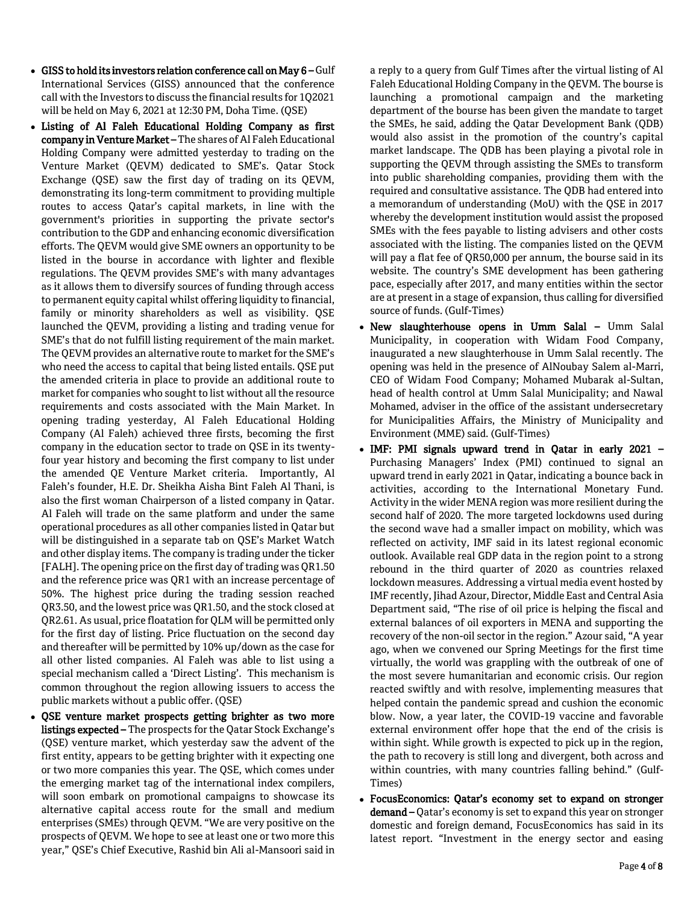- GISS to hold its investors relation conference call on May 6 Gulf International Services (GISS) announced that the conference call with the Investors to discuss the financial results for 1Q2021 will be held on May 6, 2021 at 12:30 PM, Doha Time. (QSE)
- Listing of Al Faleh Educational Holding Company as first company in Venture Market –The shares of Al Faleh Educational Holding Company were admitted yesterday to trading on the Venture Market (QEVM) dedicated to SME's. Qatar Stock Exchange (QSE) saw the first day of trading on its QEVM, demonstrating its long-term commitment to providing multiple routes to access Qatar's capital markets, in line with the government's priorities in supporting the private sector's contribution to the GDP and enhancing economic diversification efforts. The QEVM would give SME owners an opportunity to be listed in the bourse in accordance with lighter and flexible regulations. The QEVM provides SME's with many advantages as it allows them to diversify sources of funding through access to permanent equity capital whilst offering liquidity to financial, family or minority shareholders as well as visibility. QSE launched the QEVM, providing a listing and trading venue for SME's that do not fulfill listing requirement of the main market. The QEVM provides an alternative route to market for the SME's who need the access to capital that being listed entails. QSE put the amended criteria in place to provide an additional route to market for companies who sought to list without all the resource requirements and costs associated with the Main Market. In opening trading yesterday, Al Faleh Educational Holding Company (Al Faleh) achieved three firsts, becoming the first company in the education sector to trade on QSE in its twentyfour year history and becoming the first company to list under the amended QE Venture Market criteria. Importantly, Al Faleh's founder, H.E. Dr. Sheikha Aisha Bint Faleh Al Thani, is also the first woman Chairperson of a listed company in Qatar. Al Faleh will trade on the same platform and under the same operational procedures as all other companies listed in Qatar but will be distinguished in a separate tab on QSE's Market Watch and other display items. The company is trading under the ticker [FALH]. The opening price on the first day of trading was QR1.50 and the reference price was QR1 with an increase percentage of 50%. The highest price during the trading session reached QR3.50, and the lowest price was QR1.50, and the stock closed at QR2.61. As usual, price floatation for QLM will be permitted only for the first day of listing. Price fluctuation on the second day and thereafter will be permitted by 10% up/down as the case for all other listed companies. Al Faleh was able to list using a special mechanism called a 'Direct Listing'. This mechanism is common throughout the region allowing issuers to access the public markets without a public offer. (QSE)
- QSE venture market prospects getting brighter as two more listings expected – The prospects for the Qatar Stock Exchange's (QSE) venture market, which yesterday saw the advent of the first entity, appears to be getting brighter with it expecting one or two more companies this year. The QSE, which comes under the emerging market tag of the international index compilers, will soon embark on promotional campaigns to showcase its alternative capital access route for the small and medium enterprises (SMEs) through QEVM. "We are very positive on the prospects of QEVM. We hope to see at least one or two more this year," QSE's Chief Executive, Rashid bin Ali al-Mansoori said in

a reply to a query from Gulf Times after the virtual listing of Al Faleh Educational Holding Company in the QEVM. The bourse is launching a promotional campaign and the marketing department of the bourse has been given the mandate to target the SMEs, he said, adding the Qatar Development Bank (QDB) would also assist in the promotion of the country's capital market landscape. The QDB has been playing a pivotal role in supporting the QEVM through assisting the SMEs to transform into public shareholding companies, providing them with the required and consultative assistance. The QDB had entered into a memorandum of understanding (MoU) with the QSE in 2017 whereby the development institution would assist the proposed SMEs with the fees payable to listing advisers and other costs associated with the listing. The companies listed on the QEVM will pay a flat fee of QR50,000 per annum, the bourse said in its website. The country's SME development has been gathering pace, especially after 2017, and many entities within the sector are at present in a stage of expansion, thus calling for diversified source of funds. (Gulf-Times)

- New slaughterhouse opens in Umm Salal Umm Salal Municipality, in cooperation with Widam Food Company, inaugurated a new slaughterhouse in Umm Salal recently. The opening was held in the presence of AlNoubay Salem al-Marri, CEO of Widam Food Company; Mohamed Mubarak al-Sultan, head of health control at Umm Salal Municipality; and Nawal Mohamed, adviser in the office of the assistant undersecretary for Municipalities Affairs, the Ministry of Municipality and Environment (MME) said. (Gulf-Times)
- IMF: PMI signals upward trend in Qatar in early 2021 Purchasing Managers' Index (PMI) continued to signal an upward trend in early 2021 in Qatar, indicating a bounce back in activities, according to the International Monetary Fund. Activity in the wider MENA region was more resilient during the second half of 2020. The more targeted lockdowns used during the second wave had a smaller impact on mobility, which was reflected on activity, IMF said in its latest regional economic outlook. Available real GDP data in the region point to a strong rebound in the third quarter of 2020 as countries relaxed lockdown measures. Addressing a virtual media event hosted by IMF recently, Jihad Azour, Director, Middle East and Central Asia Department said, "The rise of oil price is helping the fiscal and external balances of oil exporters in MENA and supporting the recovery of the non-oil sector in the region." Azour said, "A year ago, when we convened our Spring Meetings for the first time virtually, the world was grappling with the outbreak of one of the most severe humanitarian and economic crisis. Our region reacted swiftly and with resolve, implementing measures that helped contain the pandemic spread and cushion the economic blow. Now, a year later, the COVID-19 vaccine and favorable external environment offer hope that the end of the crisis is within sight. While growth is expected to pick up in the region, the path to recovery is still long and divergent, both across and within countries, with many countries falling behind." (Gulf-Times)
- FocusEconomics: Qatar's economy set to expand on stronger demand – Qatar's economy is set to expand this year on stronger domestic and foreign demand, FocusEconomics has said in its latest report. "Investment in the energy sector and easing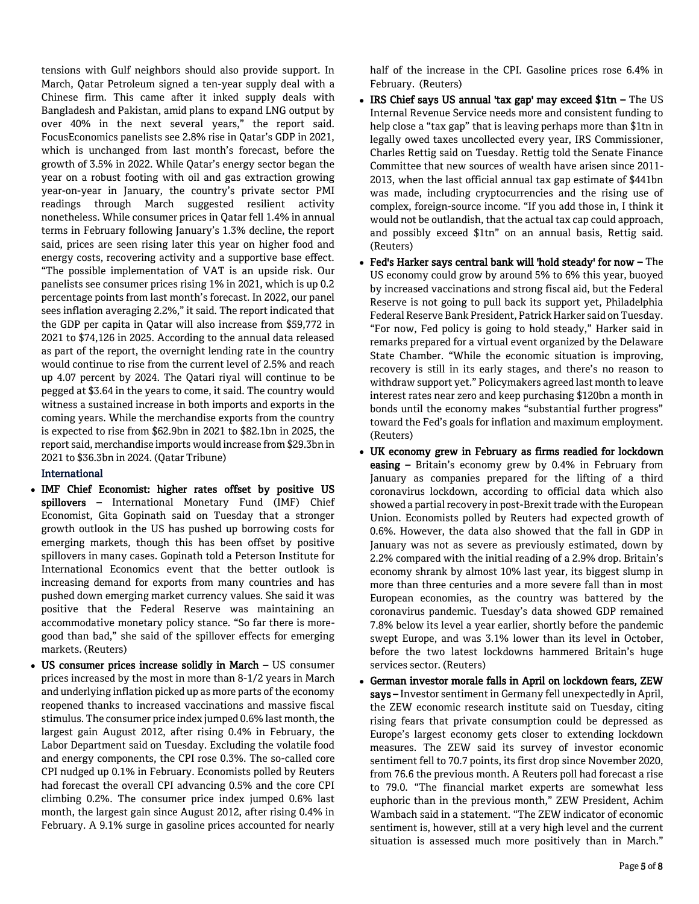tensions with Gulf neighbors should also provide support. In March, Qatar Petroleum signed a ten-year supply deal with a Chinese firm. This came after it inked supply deals with Bangladesh and Pakistan, amid plans to expand LNG output by over 40% in the next several years," the report said. FocusEconomics panelists see 2.8% rise in Qatar's GDP in 2021, which is unchanged from last month's forecast, before the growth of 3.5% in 2022. While Qatar's energy sector began the year on a robust footing with oil and gas extraction growing year-on-year in January, the country's private sector PMI readings through March suggested resilient activity nonetheless. While consumer prices in Qatar fell 1.4% in annual terms in February following January's 1.3% decline, the report said, prices are seen rising later this year on higher food and energy costs, recovering activity and a supportive base effect. "The possible implementation of VAT is an upside risk. Our panelists see consumer prices rising 1% in 2021, which is up 0.2 percentage points from last month's forecast. In 2022, our panel sees inflation averaging 2.2%," it said. The report indicated that the GDP per capita in Qatar will also increase from \$59,772 in 2021 to \$74,126 in 2025. According to the annual data released as part of the report, the overnight lending rate in the country would continue to rise from the current level of 2.5% and reach up 4.07 percent by 2024. The Qatari riyal will continue to be pegged at \$3.64 in the years to come, it said. The country would witness a sustained increase in both imports and exports in the coming years. While the merchandise exports from the country is expected to rise from \$62.9bn in 2021 to \$82.1bn in 2025, the report said, merchandise imports would increase from \$29.3bn in 2021 to \$36.3bn in 2024. (Qatar Tribune)

## International

- IMF Chief Economist: higher rates offset by positive US spillovers - International Monetary Fund (IMF) Chief Economist, Gita Gopinath said on Tuesday that a stronger growth outlook in the US has pushed up borrowing costs for emerging markets, though this has been offset by positive spillovers in many cases. Gopinath told a Peterson Institute for International Economics event that the better outlook is increasing demand for exports from many countries and has pushed down emerging market currency values. She said it was positive that the Federal Reserve was maintaining an accommodative monetary policy stance. "So far there is moregood than bad," she said of the spillover effects for emerging markets. (Reuters)
- US consumer prices increase solidly in March US consumer prices increased by the most in more than 8-1/2 years in March and underlying inflation picked up as more parts of the economy reopened thanks to increased vaccinations and massive fiscal stimulus. The consumer price index jumped 0.6% last month, the largest gain August 2012, after rising 0.4% in February, the Labor Department said on Tuesday. Excluding the volatile food and energy components, the CPI rose 0.3%. The so-called core CPI nudged up 0.1% in February. Economists polled by Reuters had forecast the overall CPI advancing 0.5% and the core CPI climbing 0.2%. The consumer price index jumped 0.6% last month, the largest gain since August 2012, after rising 0.4% in February. A 9.1% surge in gasoline prices accounted for nearly

half of the increase in the CPI. Gasoline prices rose 6.4% in February. (Reuters)

- IRS Chief says US annual 'tax gap' may exceed \$1tn The US Internal Revenue Service needs more and consistent funding to help close a "tax gap" that is leaving perhaps more than \$1tn in legally owed taxes uncollected every year, IRS Commissioner, Charles Rettig said on Tuesday. Rettig told the Senate Finance Committee that new sources of wealth have arisen since 2011- 2013, when the last official annual tax gap estimate of \$441bn was made, including cryptocurrencies and the rising use of complex, foreign-source income. "If you add those in, I think it would not be outlandish, that the actual tax cap could approach, and possibly exceed \$1tn" on an annual basis, Rettig said. (Reuters)
- Fed's Harker says central bank will 'hold steady' for now The US economy could grow by around 5% to 6% this year, buoyed by increased vaccinations and strong fiscal aid, but the Federal Reserve is not going to pull back its support yet, Philadelphia Federal Reserve Bank President, Patrick Harker said on Tuesday. "For now, Fed policy is going to hold steady," Harker said in remarks prepared for a virtual event organized by the Delaware State Chamber. "While the economic situation is improving, recovery is still in its early stages, and there's no reason to withdraw support yet." Policymakers agreed last month to leave interest rates near zero and keep purchasing \$120bn a month in bonds until the economy makes "substantial further progress" toward the Fed's goals for inflation and maximum employment. (Reuters)
- UK economy grew in February as firms readied for lockdown easing – Britain's economy grew by 0.4% in February from January as companies prepared for the lifting of a third coronavirus lockdown, according to official data which also showed a partial recovery in post-Brexit trade with the European Union. Economists polled by Reuters had expected growth of 0.6%. However, the data also showed that the fall in GDP in January was not as severe as previously estimated, down by 2.2% compared with the initial reading of a 2.9% drop. Britain's economy shrank by almost 10% last year, its biggest slump in more than three centuries and a more severe fall than in most European economies, as the country was battered by the coronavirus pandemic. Tuesday's data showed GDP remained 7.8% below its level a year earlier, shortly before the pandemic swept Europe, and was 3.1% lower than its level in October, before the two latest lockdowns hammered Britain's huge services sector. (Reuters)
- German investor morale falls in April on lockdown fears, ZEW says - Investor sentiment in Germany fell unexpectedly in April, the ZEW economic research institute said on Tuesday, citing rising fears that private consumption could be depressed as Europe's largest economy gets closer to extending lockdown measures. The ZEW said its survey of investor economic sentiment fell to 70.7 points, its first drop since November 2020, from 76.6 the previous month. A Reuters poll had forecast a rise to 79.0. "The financial market experts are somewhat less euphoric than in the previous month," ZEW President, Achim Wambach said in a statement. "The ZEW indicator of economic sentiment is, however, still at a very high level and the current situation is assessed much more positively than in March."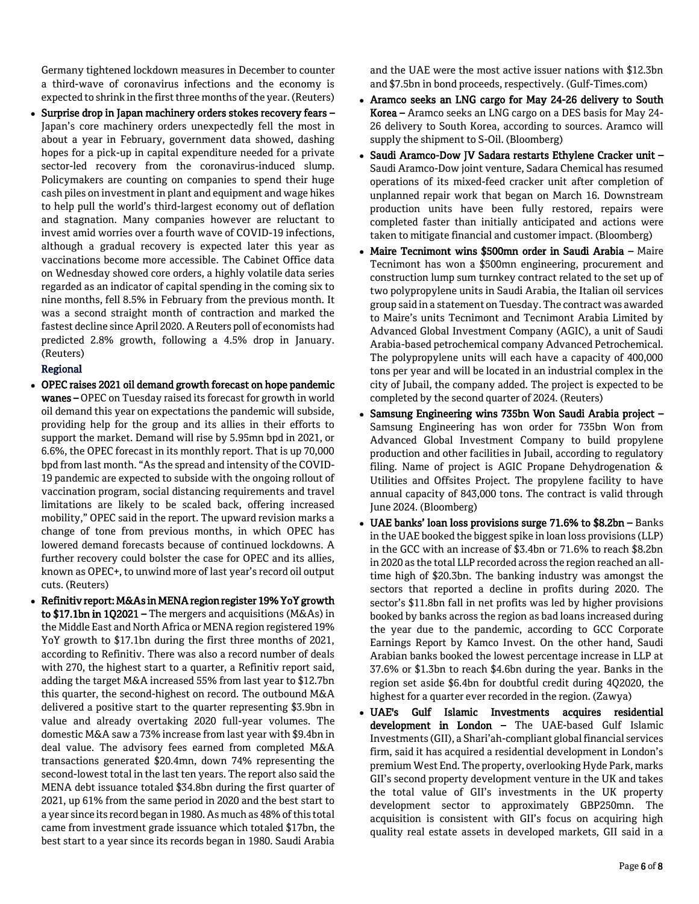Germany tightened lockdown measures in December to counter a third-wave of coronavirus infections and the economy is expected to shrink in the first three months of the year. (Reuters)

• Surprise drop in Japan machinery orders stokes recovery fears -Japan's core machinery orders unexpectedly fell the most in about a year in February, government data showed, dashing hopes for a pick-up in capital expenditure needed for a private sector-led recovery from the coronavirus-induced slump. Policymakers are counting on companies to spend their huge cash piles on investment in plant and equipment and wage hikes to help pull the world's third-largest economy out of deflation and stagnation. Many companies however are reluctant to invest amid worries over a fourth wave of COVID-19 infections, although a gradual recovery is expected later this year as vaccinations become more accessible. The Cabinet Office data on Wednesday showed core orders, a highly volatile data series regarded as an indicator of capital spending in the coming six to nine months, fell 8.5% in February from the previous month. It was a second straight month of contraction and marked the fastest decline since April 2020. A Reuters poll of economists had predicted 2.8% growth, following a 4.5% drop in January. (Reuters)

# Regional

- OPEC raises 2021 oil demand growth forecast on hope pandemic wanes – OPEC on Tuesday raised its forecast for growth in world oil demand this year on expectations the pandemic will subside, providing help for the group and its allies in their efforts to support the market. Demand will rise by 5.95mn bpd in 2021, or 6.6%, the OPEC forecast in its monthly report. That is up 70,000 bpd from last month. "As the spread and intensity of the COVID-19 pandemic are expected to subside with the ongoing rollout of vaccination program, social distancing requirements and travel limitations are likely to be scaled back, offering increased mobility," OPEC said in the report. The upward revision marks a change of tone from previous months, in which OPEC has lowered demand forecasts because of continued lockdowns. A further recovery could bolster the case for OPEC and its allies, known as OPEC+, to unwind more of last year's record oil output cuts. (Reuters)
- Refinitiv report: M&As in MENA region register 19% YoY growth to \$17.1bn in 1Q2021 – The mergers and acquisitions (M&As) in the Middle East and North Africa or MENA region registered 19% YoY growth to \$17.1bn during the first three months of 2021, according to Refinitiv. There was also a record number of deals with 270, the highest start to a quarter, a Refinitiv report said, adding the target M&A increased 55% from last year to \$12.7bn this quarter, the second-highest on record. The outbound M&A delivered a positive start to the quarter representing \$3.9bn in value and already overtaking 2020 full-year volumes. The domestic M&A saw a 73% increase from last year with \$9.4bn in deal value. The advisory fees earned from completed M&A transactions generated \$20.4mn, down 74% representing the second-lowest total in the last ten years. The report also said the MENA debt issuance totaled \$34.8bn during the first quarter of 2021, up 61% from the same period in 2020 and the best start to a year since its record began in 1980. As much as 48% of this total came from investment grade issuance which totaled \$17bn, the best start to a year since its records began in 1980. Saudi Arabia

and the UAE were the most active issuer nations with \$12.3bn and \$7.5bn in bond proceeds, respectively. (Gulf-Times.com)

- Aramco seeks an LNG cargo for May 24-26 delivery to South Korea – Aramco seeks an LNG cargo on a DES basis for May 24- 26 delivery to South Korea, according to sources. Aramco will supply the shipment to S-Oil. (Bloomberg)
- Saudi Aramco-Dow JV Sadara restarts Ethylene Cracker unit Saudi Aramco-Dow joint venture, Sadara Chemical has resumed operations of its mixed-feed cracker unit after completion of unplanned repair work that began on March 16. Downstream production units have been fully restored, repairs were completed faster than initially anticipated and actions were taken to mitigate financial and customer impact. (Bloomberg)
- Maire Tecnimont wins \$500mn order in Saudi Arabia Maire Tecnimont has won a \$500mn engineering, procurement and construction lump sum turnkey contract related to the set up of two polypropylene units in Saudi Arabia, the Italian oil services group said in a statement on Tuesday. The contract was awarded to Maire's units Tecnimont and Tecnimont Arabia Limited by Advanced Global Investment Company (AGIC), a unit of Saudi Arabia-based petrochemical company Advanced Petrochemical. The polypropylene units will each have a capacity of 400,000 tons per year and will be located in an industrial complex in the city of Jubail, the company added. The project is expected to be completed by the second quarter of 2024. (Reuters)
- Samsung Engineering wins 735bn Won Saudi Arabia project Samsung Engineering has won order for 735bn Won from Advanced Global Investment Company to build propylene production and other facilities in Jubail, according to regulatory filing. Name of project is AGIC Propane Dehydrogenation & Utilities and Offsites Project. The propylene facility to have annual capacity of 843,000 tons. The contract is valid through June 2024. (Bloomberg)
- UAE banks' loan loss provisions surge 71.6% to \$8.2bn Banks in the UAE booked the biggest spike in loan loss provisions (LLP) in the GCC with an increase of \$3.4bn or 71.6% to reach \$8.2bn in 2020 as the total LLP recorded across the region reached an alltime high of \$20.3bn. The banking industry was amongst the sectors that reported a decline in profits during 2020. The sector's \$11.8bn fall in net profits was led by higher provisions booked by banks across the region as bad loans increased during the year due to the pandemic, according to GCC Corporate Earnings Report by Kamco Invest. On the other hand, Saudi Arabian banks booked the lowest percentage increase in LLP at 37.6% or \$1.3bn to reach \$4.6bn during the year. Banks in the region set aside \$6.4bn for doubtful credit during 4Q2020, the highest for a quarter ever recorded in the region. (Zawya)
- UAE's Gulf Islamic Investments acquires residential development in London – The UAE-based Gulf Islamic Investments (GII), a Shari'ah-compliant global financial services firm, said it has acquired a residential development in London's premium West End. The property, overlooking Hyde Park, marks GII's second property development venture in the UK and takes the total value of GII's investments in the UK property development sector to approximately GBP250mn. The acquisition is consistent with GII's focus on acquiring high quality real estate assets in developed markets, GII said in a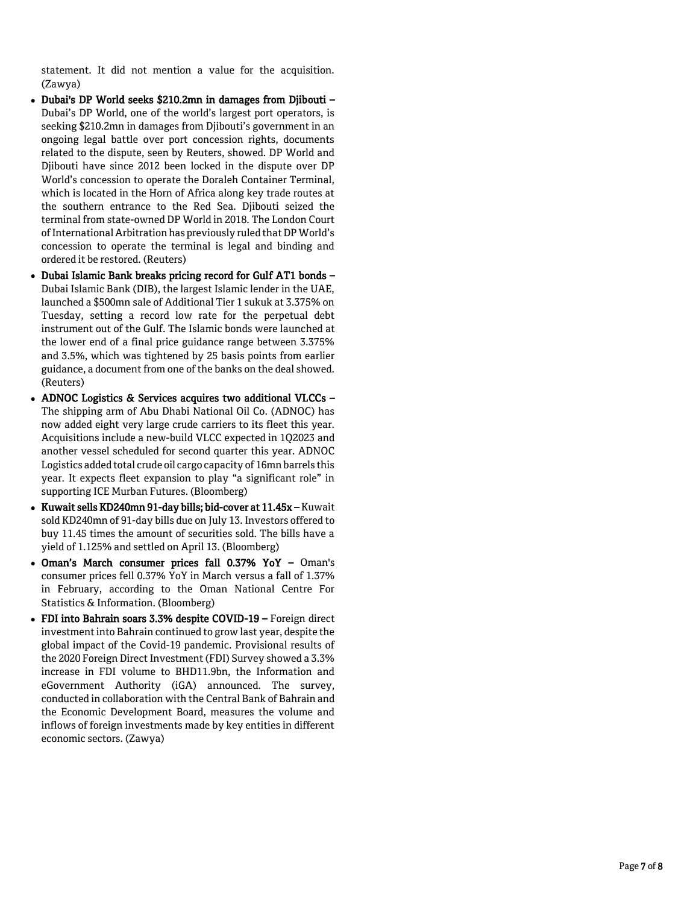statement. It did not mention a value for the acquisition. (Zawya)

- Dubai's DP World seeks \$210.2mn in damages from Djibouti Dubai's DP World, one of the world's largest port operators, is seeking \$210.2mn in damages from Djibouti's government in an ongoing legal battle over port concession rights, documents related to the dispute, seen by Reuters, showed. DP World and Djibouti have since 2012 been locked in the dispute over DP World's concession to operate the Doraleh Container Terminal, which is located in the Horn of Africa along key trade routes at the southern entrance to the Red Sea. Djibouti seized the terminal from state -owned DP World in 2018. The London Court of International Arbitration has previously ruled that DP World's concession to operate the terminal is legal and binding and ordered it be restored. (Reuters)
- Dubai Islamic Bank breaks pricing record for Gulf AT1 bonds Dubai Islamic Bank (DIB), the largest Islamic lender in the UAE, launched a \$500mn sale of Additional Tier 1 sukuk at 3.375% on Tuesday, setting a record low rate for the perpetual debt instrument out of the Gulf. The Islamic bonds were launched at the lower end of a final price guidance range between 3.375% and 3.5%, which was tightened by 25 basis points from earlier guidance, a document from one of the banks on the deal showed. (Reuters)
- ADNOC Logistics & Services acquires two additional VLCCs The shipping arm of Abu Dhabi National Oil Co. (ADNOC) has now added eight very large crude carriers to its fleet this year. Acquisitions include a new -build VLCC expected in 1Q2023 and another vessel scheduled for second quarter this year. ADNOC Logistics added total crude oil cargo capacity of 16mn barrels this year. It expects fleet expansion to play "a significant role" in supporting ICE Murban Futures. (Bloomberg)
- Kuwait sells KD240mn 91-day bills; bid-cover at 11.45x Kuwait sold KD240mn of 91 -day bills due on July 13. Investors offered to buy 11.45 times the amount of securities sold. The bills have a yield of 1.125% and settled on April 13. (Bloomberg)
- Oman's March consumer prices fall 0.37% YoY Oman's consumer prices fell 0.37% YoY in March versus a fall of 1.37% in February, according to the Oman National Centre For Statistics & Information. (Bloomberg)
- FDI into Bahrain soars 3.3% despite COVID-19 Foreign direct investment into Bahrain continued to grow last year, despite the global impact of the Covid -19 pandemic. Provisional results of the 2020 Foreign Direct Investment (FDI) Survey showed a 3.3% increase in FDI volume to BHD11.9bn, the Information and eGovernment Authority (iGA) announced. The survey, conducted in collaboration with the Central Bank of Bahrain and the Economic Development Board, measures the volume and inflows of foreign investments made by key entities in different economic sectors. (Zawya)